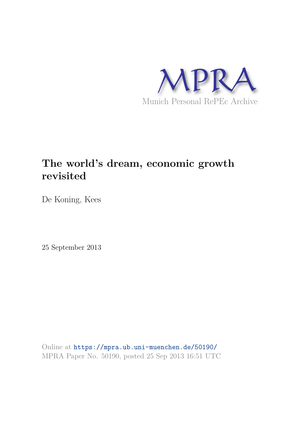

## **The world's dream, economic growth revisited**

De Koning, Kees

25 September 2013

Online at https://mpra.ub.uni-muenchen.de/50190/ MPRA Paper No. 50190, posted 25 Sep 2013 16:51 UTC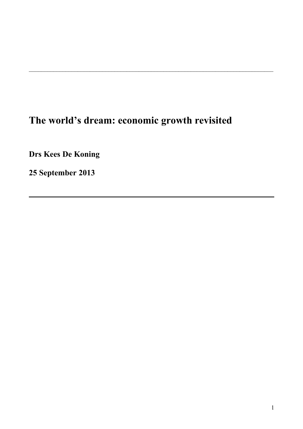# **The world's dream: economic growth revisited**

\_\_\_\_\_\_\_\_\_\_\_\_\_\_\_\_\_\_\_\_\_\_\_\_\_\_\_\_\_\_\_\_\_\_\_\_\_\_\_\_\_\_\_\_\_\_\_\_\_\_\_\_\_\_\_\_\_\_\_\_\_\_\_\_\_\_\_\_\_\_\_\_\_\_\_\_\_\_\_\_

**Drs Kees De Koning**

**25 September 2013**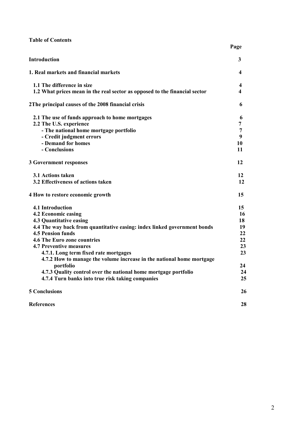|  |  | <b>Table of Contents</b> |
|--|--|--------------------------|
|--|--|--------------------------|

|                                                                            | Page |
|----------------------------------------------------------------------------|------|
| <b>Introduction</b>                                                        | 3    |
| 1. Real markets and financial markets                                      | 4    |
| 1.1 The difference in size                                                 | 4    |
| 1.2 What prices mean in the real sector as opposed to the financial sector | 4    |
| 2The principal causes of the 2008 financial crisis                         | 6    |
| 2.1 The use of funds approach to home mortgages                            | 6    |
| 2.2 The U.S. experience                                                    | 7    |
| - The national home mortgage portfolio                                     | 7    |
| - Credit judgment errors                                                   | 9    |
| - Demand for homes                                                         | 10   |
| - Conclusions                                                              | 11   |
| <b>3 Government responses</b>                                              | 12   |
| 3.1 Actions taken                                                          | 12   |
| 3.2 Effectiveness of actions taken                                         | 12   |
| 4 How to restore economic growth                                           | 15   |
| 4.1 Introduction                                                           | 15   |
| 4.2 Economic easing                                                        | 16   |
| <b>4.3 Quantitative easing</b>                                             | 18   |
| 4.4 The way back from quantitative easing: index linked government bonds   | 19   |
| <b>4.5 Pension funds</b>                                                   | 22   |
| <b>4.6 The Euro zone countries</b>                                         | 22   |
| <b>4.7 Preventive measures</b>                                             | 23   |
| 4.7.1. Long term fixed rate mortgages                                      | 23   |
| 4.7.2 How to manage the volume increase in the national home mortgage      |      |
| portfolio                                                                  | 24   |
| 4.7.3 Quality control over the national home mortgage portfolio            | 24   |
| 4.7.4 Turn banks into true risk taking companies                           | 25   |
| <b>5 Conclusions</b>                                                       | 26   |
| <b>References</b>                                                          | 28   |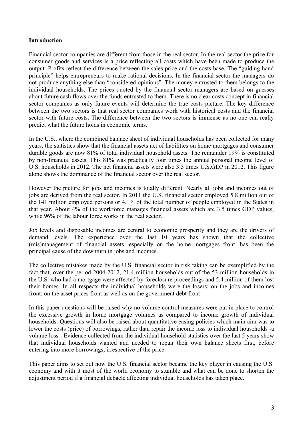## **Introduction**

Financial sector companies are different from those in the real sector. In the real sector the price for consumer goods and services is a price reflecting all costs which have been made to produce the output. Profits reflect the difference between the sales price and the costs base. The "guiding hand principle" helps entrepreneurs to make rational decisions. In the financial sector the managers do not produce anything else than "considered opinions". The money entrusted to them belongs to the individual households. The prices quoted by the financial sector managers are based on guesses about future cash flows over the funds entrusted to them. There is no clear costs concept in financial sector companies as only future events will determine the true costs picture. The key difference between the two sectors is that real sector companies work with historical costs and the financial sector with future costs. The difference between the two sectors is immense as no one can really predict what the future holds in economic terms.

In the U.S., where the combined balance sheet of individual households has been collected for many years, the statistics show that the financial assets net of liabilities on home mortgages and consumer durable goods are now 81% of total individual household assets. The remainder 19% is constituted by non-financial assets. This 81% was practically four times the annual personal income level of U.S. households in 2012. The net financial assets were also 3.5 times U.S.GDP in 2012. This figure alone shows the dominance of the financial sector over the real sector.

However the picture for jobs and incomes is totally different. Nearly all jobs and incomes out of jobs are derived from the real sector. In 2011 the U.S. financial sector employed 5.8 million out of the 141 million employed persons or 4.1% of the total number of people employed in the States in that year. About 4% of the workforce manages financial assets which are 3.5 times GDP values, while 96% of the labour force works in the real sector.

Job levels and disposable incomes are central to economic prosperity and they are the drivers of demand levels. The experience over the last 10 years has shown that the collective (mis)management of financial assets, especially on the home mortgages front, has been the principal cause of the downturn in jobs and incomes.

The collective mistakes made by the U.S. financial sector in risk taking can be exemplified by the fact that, over the period 2004-2012, 21.4 million households out of the 53 million households in the U.S. who had a mortgage were affected by foreclosure proceedings and 5.4 million of them lost their homes. In all respects the individual households were the losers: on the jobs and incomes front; on the asset prices front as well as on the government debt front

In this paper questions will be raised why no volume control measures were put in place to control the excessive growth in home mortgage volumes as compared to income growth of individual households. Questions will also be raised about quantitative easing policies which main aim was to lower the costs (price) of borrowings, rather than repair the income loss to individual households -a volume loss-. Evidence collected from the individual household statistics over the last 5 years show that individual households wanted and needed to repair their own balance sheets first, before entering into more borrowings, irrespective of the price.

This paper aims to set out how the U.S. financial sector became the key player in causing the U.S. economy and with it most of the world economy to stumble and what can be done to shorten the adjustment period if a financial debacle affecting individual households has taken place.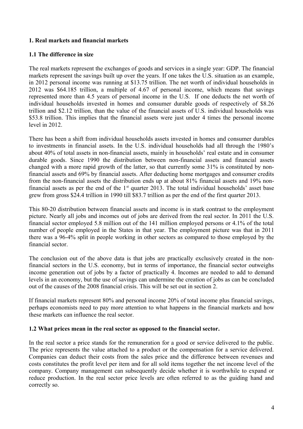## **1. Real markets and financial markets**

### **1.1 The difference in size**

The real markets represent the exchanges of goods and services in a single year: GDP. The financial markets represent the savings built up over the years. If one takes the U.S. situation as an example. in 2012 personal income was running at \$13.75 trillion. The net worth of individual households in 2012 was \$64.185 trillion, a multiple of 4.67 of personal income, which means that savings represented more than 4.5 years of personal income in the U.S. If one deducts the net worth of individual households invested in homes and consumer durable goods of respectively of \$8.26 trillion and \$2.12 trillion, than the value of the financial assets of U.S. individual households was \$53.8 trillion. This implies that the financial assets were just under 4 times the personal income level in 2012.

There has been a shift from individual households assets invested in homes and consumer durables to investments in financial assets. In the U.S. individual households had all through the 1980's about 40% of total assets in non-financial assets, mainly in households' real estate and in consumer durable goods. Since 1990 the distribution between non-financial assets and financial assets changed with a more rapid growth of the latter, so that currently some 31% is constituted by nonfinancial assets and 69% by financial assets. After deducting home mortgages and consumer credits from the non-financial assets the distribution ends up at about 81% financial assets and 19% nonfinancial assets as per the end of the  $1<sup>st</sup>$  quarter 2013. The total individual households' asset base grew from gross \$24.4 trillion in 1990 till \$83.7 trillion as per the end of the first quarter 2013.

This 80-20 distribution between financial assets and income is in stark contrast to the employment picture. Nearly all jobs and incomes out of jobs are derived from the real sector. In 2011 the U.S. financial sector employed 5.8 million out of the 141 million employed persons or 4.1% of the total number of people employed in the States in that year. The employment picture was that in 2011 there was a 96-4% split in people working in other sectors as compared to those employed by the financial sector.

The conclusion out of the above data is that jobs are practically exclusively created in the nonfinancial sectors in the U.S. economy, but in terms of importance, the financial sector outweighs income generation out of jobs by a factor of practically 4. Incomes are needed to add to demand levels in an economy, but the use of savings can undermine the creation of jobs as can be concluded out of the causes of the 2008 financial crisis. This will be set out in section 2.

If financial markets represent 80% and personal income 20% of total income plus financial savings, perhaps economists need to pay more attention to what happens in the financial markets and how these markets can influence the real sector.

#### **1.2 What prices mean in the real sector as opposed to the financial sector.**

In the real sector a price stands for the remuneration for a good or service delivered to the public. The price represents the value attached to a product or the compensation for a service delivered. Companies can deduct their costs from the sales price and the difference between revenues and costs constitutes the profit level per item and for all sold items together the net income level of the company. Company management can subsequently decide whether it is worthwhile to expand or reduce production. In the real sector price levels are often referred to as the guiding hand and correctly so.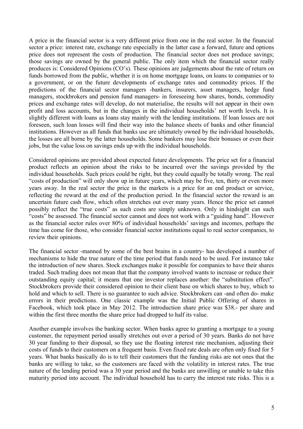A price in the financial sector is a very different price from one in the real sector. In the financial sector a price: interest rate, exchange rate especially in the latter case a forward, future and options price does not represent the costs of production. The financial sector does not produce savings; those savings are owned by the general public. The only item which the financial sector really produces is: Considered Opinions (CO's). These opinions are judgements about the rate of return on funds borrowed from the public, whether it is on home mortgage loans, on loans to companies or to a government, or on the future developments of exchange rates and commodity prices. If the predictions of the financial sector managers -bankers, insurers, asset managers, hedge fund managers, stockbrokers and pension fund managers- in foreseeing how shares, bonds, commodity prices and exchange rates will develop, do not materialise, the results will not appear in their own profit and loss accounts, but in the changes in the individual households' net worth levels. It is slightly different with loans as loans stay mainly with the lending institutions. If loan losses are not foreseen, such loan losses will find their way into the balance sheets of banks and other financial institutions. However as all funds that banks use are ultimately owned by the individual households, the losses are all borne by the latter households. Some bankers may lose their bonuses or even their jobs, but the value loss on savings ends up with the individual households.

Considered opinions are provided about expected future developments. The price set for a financial product reflects an opinion about the risks to be incurred over the savings provided by the individual households. Such prices could be right, but they could equally be totally wrong. The real "costs of production" will only show up in future years, which may be five, ten, thirty or even more years away. In the real sector the price in the markets is a price for an end product or service, reflecting the reward at the end of the production period. In the financial sector the reward is an uncertain future cash flow, which often stretches out over many years. Hence the price set cannot possibly reflect the "true costs" as such costs are simply unknown. Only in hindsight can such "costs" be assessed. The financial sector cannot and does not work with a "guiding hand". However as the financial sector rules over 80% of individual households' savings and incomes, perhaps the time has come for those, who consider financial sector institutions equal to real sector companies, to review their opinions.

The financial sector -manned by some of the best brains in a country- has developed a number of mechanisms to hide the true nature of the time period that funds need to be used. For instance take the introduction of new shares. Stock exchanges make it possible for companies to have their shares traded. Such trading does not mean that that the company involved wants to increase or reduce their outstanding equity capital; it means that one investor replaces another: the "substitution effect". Stockbrokers provide their considered opinion to their client base on which shares to buy, which to hold and which to sell. There is no guarantee to such advice. Stockbrokers can -and often do- make errors in their predictions. One classic example was the Initial Public Offering of shares in Facebook, which took place in May 2012. The introduction share price was \$38.- per share and within the first three months the share price had dropped to half its value.

Another example involves the banking sector. When banks agree to granting a mortgage to a young customer, the repayment period usually stretches out over a period of 30 years. Banks do not have 30 year funding to their disposal, so they use the floating interest rate mechanism, adjusting their costs of funds to their customers on a frequent basis. Even fixed rate deals are often only fixed for 5 years. What banks basically do is to tell their customers that the funding risks are not ones that the banks are willing to take, so the customers are faced with the volatility in interest rates. The true nature of the lending period was a 30 year period and the banks are unwilling or unable to take this maturity period into account. The individual household has to carry the interest rate risks. This is a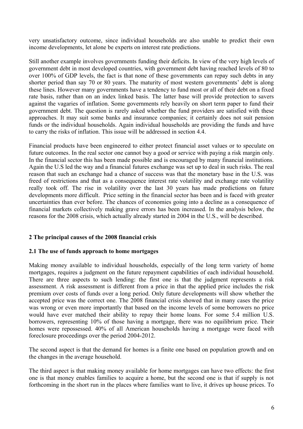very unsatisfactory outcome, since individual households are also unable to predict their own income developments, let alone be experts on interest rate predictions.

Still another example involves governments funding their deficits. In view of the very high levels of government debt in most developed countries, with government debt having reached levels of 80 to over 100% of GDP levels, the fact is that none of these governments can repay such debts in any shorter period than say 70 or 80 years. The maturity of most western governments' debt is along these lines. However many governments have a tendency to fund most or all of their debt on a fixed rate basis, rather than on an index linked basis. The latter base will provide protection to savers against the vagaries of inflation. Some governments rely heavily on short term paper to fund their government debt. The question is rarely asked whether the fund providers are satisfied with these approaches. It may suit some banks and insurance companies; it certainly does not suit pension funds or the individual households. Again individual households are providing the funds and have to carry the risks of inflation. This issue will be addressed in section 4.4.

Financial products have been engineered to either protect financial asset values or to speculate on future outcomes. In the real sector one cannot buy a good or service with paying a risk margin only. In the financial sector this has been made possible and is encouraged by many financial institutions. Again the U.S led the way and a financial futures exchange was set up to deal in such risks. The real reason that such an exchange had a chance of success was that the monetary base in the U.S. was freed of restrictions and that as a consequence interest rate volatility and exchange rate volatility really took off. The rise in volatility over the last 30 years has made predictions on future developments more difficult. Price setting in the financial sector has been and is faced with greater uncertainties than ever before. The chances of economies going into a decline as a consequence of financial markets collectively making grave errors has been increased. In the analysis below, the reasons for the 2008 crisis, which actually already started in 2004 in the U.S., will be described.

## **2 The principal causes of the 2008 financial crisis**

#### **2.1 The use of funds approach to home mortgages**

Making money available to individual households, especially of the long term variety of home mortgages, requires a judgment on the future repayment capabilities of each individual household. There are three aspects to such lending: the first one is that the judgment represents a risk assessment. A risk assessment is different from a price in that the applied price includes the risk premium over costs of funds over a long period. Only future developments will show whether the accepted price was the correct one. The 2008 financial crisis showed that in many cases the price was wrong or even more importantly that based on the income levels of some borrowers no price would have ever matched their ability to repay their home loans. For some 5.4 million U.S. borrowers, representing 10% of those having a mortgage, there was no equilibrium price. Their homes were repossessed. 40% of all American households having a mortgage were faced with foreclosure proceedings over the period 2004-2012.

The second aspect is that the demand for homes is a finite one based on population growth and on the changes in the average household.

The third aspect is that making money available for home mortgages can have two effects: the first one is that money enables families to acquire a home, but the second one is that if supply is not forthcoming in the short run in the places where families want to live, it drives up house prices. To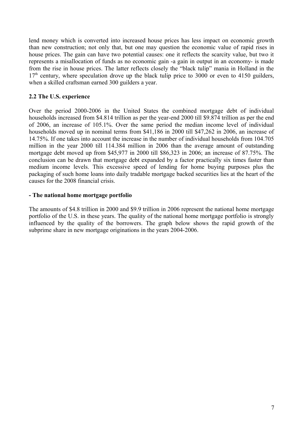lend money which is converted into increased house prices has less impact on economic growth than new construction; not only that, but one may question the economic value of rapid rises in house prices. The gain can have two potential causes: one it reflects the scarcity value, but two it represents a misallocation of funds as no economic gain -a gain in output in an economy- is made from the rise in house prices. The latter reflects closely the "black tulip" mania in Holland in the  $17<sup>th</sup>$  century, where speculation drove up the black tulip price to 3000 or even to 4150 guilders, when a skilled craftsman earned 300 guilders a year.

## **2.2 The U.S. experience**

Over the period 2000-2006 in the United States the combined mortgage debt of individual households increased from \$4.814 trillion as per the year-end 2000 till \$9.874 trillion as per the end of 2006, an increase of 105.1%. Over the same period the median income level of individual households moved up in nominal terms from \$41,186 in 2000 till \$47,262 in 2006, an increase of 14.75%. If one takes into account the increase in the number of individual households from 104.705 million in the year 2000 till 114.384 million in 2006 than the average amount of outstanding mortgage debt moved up from \$45,977 in 2000 till \$86,323 in 2006; an increase of 87.75%. The conclusion can be drawn that mortgage debt expanded by a factor practically six times faster than medium income levels. This excessive speed of lending for home buying purposes plus the packaging of such home loans into daily tradable mortgage backed securities lies at the heart of the causes for the 2008 financial crisis.

## **- The national home mortgage portfolio**

The amounts of \$4.8 trillion in 2000 and \$9.9 trillion in 2006 represent the national home mortgage portfolio of the U.S. in these years. The quality of the national home mortgage portfolio is strongly influenced by the quality of the borrowers. The graph below shows the rapid growth of the subprime share in new mortgage originations in the years 2004-2006.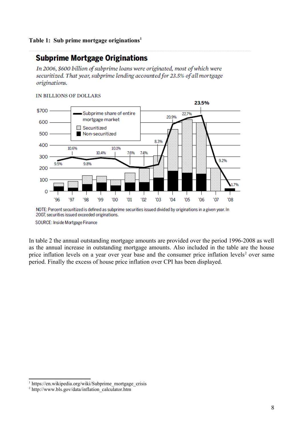## **Subprime Mortgage Originations**

In 2006, \$600 billion of subprime loans were originated, most of which were securitized. That year, subprime lending accounted for 23.5% of all mortgage originations.

#### IN BILLIONS OF DOLLARS



NOTE: Percent securitized is defined as subprime securities issued divided by originations in a given year. In 2007, securities issued exceeded originations.

SOURCE: Inside Mortgage Finance

In table 2 the annual outstanding mortgage amounts are provided over the period 1996-2008 as well as the annual increase in outstanding mortgage amounts. Also included in the table are the house price inflation levels on a year over year base and the consumer price inflation levels<sup>2</sup> over same period. Finally the excess of house price inflation over CPI has been displayed.

<sup>&</sup>lt;sup>1</sup> https://en.wikipedia.org/wiki/Subprime\_mortgage\_crisis

<sup>&</sup>lt;sup>2</sup> http://www.bls.gov/data/inflation\_calculator.htm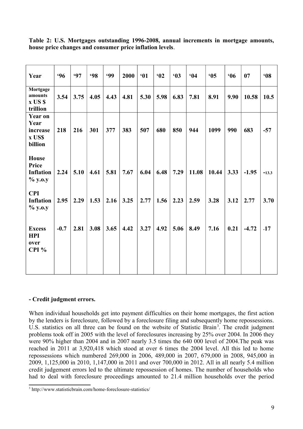| Year                                                    | .96    | <b>'97</b> | <b>98</b> | <b>99</b> | 2000 | 61   | 62   | 63   | 64    | 65    | 66   | 07      | 608     |
|---------------------------------------------------------|--------|------------|-----------|-----------|------|------|------|------|-------|-------|------|---------|---------|
| Mortgage<br>amounts<br>x US \$<br>trillion              | 3.54   | 3.75       | 4.05      | 4.43      | 4.81 | 5.30 | 5.98 | 6.83 | 7.81  | 8.91  | 9.90 | 10.58   | 10.5    |
| <b>Year on</b><br>Year<br>increase<br>x US\$<br>billion | 218    | 216        | 301       | 377       | 383  | 507  | 680  | 850  | 944   | 1099  | 990  | 683     | $-57$   |
| <b>House</b><br>Price<br><b>Inflation</b><br>% y.o.y    | 2.24   | 5.10       | 4.61      | 5.81      | 7.67 | 6.04 | 6.48 | 7.29 | 11.08 | 10.44 | 3.33 | $-1.95$ | $-13.3$ |
| <b>CPI</b><br><b>Inflation</b><br>% y.o.y               | 2.95   | 2.29       | 1.53      | 2.16      | 3.25 | 2.77 | 1.56 | 2.23 | 2.59  | 3.28  | 3.12 | 2.77    | 3.70    |
| <b>Excess</b><br><b>HPI</b><br>over<br>CPI%             | $-0.7$ | 2.81       | 3.08      | 3.65      | 4.42 | 3.27 | 4.92 | 5.06 | 8.49  | 7.16  | 0.21 | $-4.72$ | $-17$   |

**Table 2: U.S. Mortgages outstanding 1996-2008, annual increments in mortgage amounts, house price changes and consumer price inflation levels**.

## **- Credit judgment errors.**

When individual households get into payment difficulties on their home mortgages, the first action by the lenders is foreclosure, followed by a foreclosure filing and subsequently home repossessions. U.S. statistics on all three can be found on the website of Statistic Brain<sup>3</sup>. The credit judgment problems took off in 2005 with the level of foreclosures increasing by 25% over 2004. In 2006 they were 90% higher than 2004 and in 2007 nearly 3.5 times the 640 000 level of 2004.The peak was reached in 2011 at 3,920,418 which stood at over 6 times the 2004 level. All this led to home repossessions which numbered 269,000 in 2006, 489,000 in 2007, 679,000 in 2008, 945,000 in 2009, 1,125,000 in 2010, 1,147,000 in 2011 and over 700,000 in 2012. All in all nearly 5.4 million credit judgement errors led to the ultimate repossession of homes. The number of households who had to deal with foreclosure proceedings amounted to 21.4 million households over the period

<sup>3</sup> http://www.statisticbrain.com/home-foreclosure-statistics/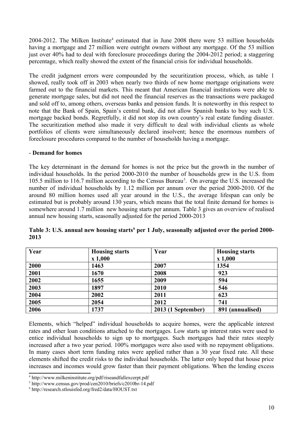$2004 - 2012$ . The Milken Institute<sup>4</sup> estimated that in June  $2008$  there were 53 million households having a mortgage and 27 million were outright owners without any mortgage. Of the 53 million just over 40% had to deal with foreclosure proceedings during the 2004-2012 period; a staggering percentage, which really showed the extent of the financial crisis for individual households.

The credit judgment errors were compounded by the securitization process, which, as table 1 showed, really took off in 2003 when nearly two thirds of new home mortgage originations were farmed out to the financial markets. This meant that American financial institutions were able to generate mortgage sales, but did not need the financial reserves as the transactions were packaged and sold off to, among others, overseas banks and pension funds. It is noteworthy in this respect to note that the Bank of Spain, Spain's central bank, did not allow Spanish banks to buy such U.S. mortgage backed bonds. Regretfully, it did not stop its own country's real estate funding disaster. The securitization method also made it very difficult to deal with individual clients as whole portfolios of clients were simultaneously declared insolvent; hence the enormous numbers of foreclosure procedures compared to the number of households having a mortgage.

## - **Demand for homes**

The key determinant in the demand for homes is not the price but the growth in the number of individual households. In the period 2000-2010 the number of households grew in the U.S. from 105.5 million to 116.7 million according to the Census Bureau<sup>5</sup>. On average the U.S. increased the number of individual households by 1.12 million per annum over the period 2000-2010. Of the around 80 million homes used all year around in the U.S., the average lifespan can only be estimated but is probably around 130 years, which means that the total finite demand for homes is somewhere around 1.7 million new housing starts per annum. Table 3 gives an overview of realised annual new housing starts, seasonally adjusted for the period 2000-2013

| Year | <b>Housing starts</b><br>x 1,000 | Year               | <b>Housing starts</b><br>x 1,000 |
|------|----------------------------------|--------------------|----------------------------------|
| 2000 | 1463                             | 2007               | 1354                             |
| 2001 | 1670                             | 2008               | 923                              |
| 2002 | 1655                             | 2009               | 594                              |
| 2003 | 1897                             | 2010               | 546                              |
| 2004 | 2002                             | 2011               | 623                              |
| 2005 | 2054                             | 2012               | 741                              |
| 2006 | 1737                             | 2013 (1 September) | 891 (annualised)                 |

**Table 3: U.S. annual new housing starts<sup>6</sup> per 1 July, seasonally adjusted over the period 2000- 2013**

Elements, which "helped" individual households to acquire homes, were the applicable interest rates and other loan conditions attached to the mortgages. Low starts up interest rates were used to entice individual households to sign up to mortgages. Such mortgages had their rates steeply increased after a two year period. 100% mortgages were also used with no repayment obligations. In many cases short term funding rates were applied rather than a 30 year fixed rate. All these elements shifted the credit risks to the individual households. The latter only hoped that house price increases and incomes would grow faster than their payment obligations. When the lending excess

<sup>4</sup> http://www.milkeninstitute.org/pdf/riseandfallexcerpt.pdf

<sup>5</sup> http://www.census.gov/prod/cen2010/briefs/c2010br-14.pdf

<sup>6</sup> http://research.stlouisfed.org/fred2/data/HOUST.txt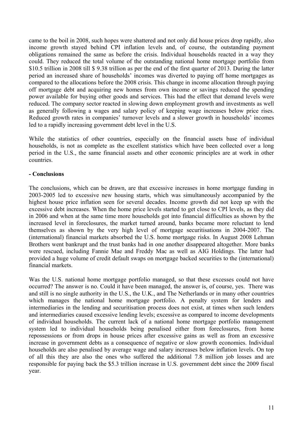came to the boil in 2008, such hopes were shattered and not only did house prices drop rapidly, also income growth stayed behind CPI inflation levels and, of course, the outstanding payment obligations remained the same as before the crisis. Individual households reacted in a way they could. They reduced the total volume of the outstanding national home mortgage portfolio from \$10.5 trillion in 2008 till \$ 9.38 trillion as per the end of the first quarter of 2013. During the latter period an increased share of households' incomes was diverted to paying off home mortgages as compared to the allocations before the 2008 crisis. This change in income allocation through paying off mortgage debt and acquiring new homes from own income or savings reduced the spending power available for buying other goods and services. This had the effect that demand levels were reduced. The company sector reacted in slowing down employment growth and investments as well as generally following a wages and salary policy of keeping wage increases below price rises. Reduced growth rates in companies' turnover levels and a slower growth in households' incomes led to a rapidly increasing government debt level in the U.S.

While the statistics of other countries, especially on the financial assets base of individual households, is not as complete as the excellent statistics which have been collected over a long period in the U.S., the same financial assets and other economic principles are at work in other countries.

## **- Conclusions**

The conclusions, which can be drawn, are that excessive increases in home mortgage funding in 2003-2005 led to excessive new housing starts, which was simultaneously accompanied by the highest house price inflation seen for several decades. Income growth did not keep up with the excessive debt increases. When the home price levels started to get close to CPI levels, as they did in 2006 and when at the same time more households got into financial difficulties as shown by the increased level in foreclosures, the market turned around, banks became more reluctant to lend themselves as shown by the very high level of mortgage securitisations in 2004-2007. The (international) financial markets absorbed the U.S. home mortgage risks. In August 2008 Lehman Brothers went bankrupt and the trust banks had in one another disappeared altogether. More banks were rescued, including Fannie Mae and Freddy Mac as well as AIG Holdings. The latter had provided a huge volume of credit default swaps on mortgage backed securities to the (international) financial markets.

Was the U.S. national home mortgage portfolio managed, so that these excesses could not have occurred? The answer is no. Could it have been managed, the answer is, of course, yes. There was and still is no single authority in the U.S., the U.K., and The Netherlands or in many other countries which manages the national home mortgage portfolio. A penalty system for lenders and intermediaries in the lending and securitisation process does not exist, at times when such lenders and intermediaries caused excessive lending levels; excessive as compared to income developments of individual households. The current lack of a national home mortgage portfolio management system led to individual households being penalised either from foreclosures, from home repossessions or from drops in house prices after excessive gains as well as from an excessive increase in government debts as a consequence of negative or slow growth economies. Individual households are also penalised by average wage and salary increases below inflation levels. On top of all this they are also the ones who suffered the additional 7.8 million job losses and are responsible for paying back the \$5.3 trillion increase in U.S. government debt since the 2009 fiscal year.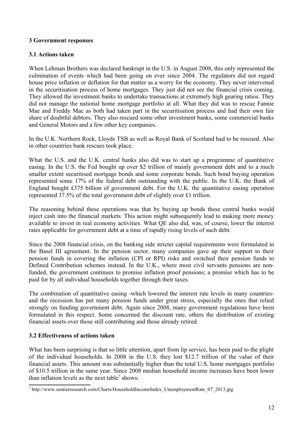## **3 Government responses**

## **3.1 Actions taken**

When Lehman Brothers was declared bankrupt in the U.S. in August 2008, this only represented the culmination of events which had been going on ever since 2004. The regulators did not regard house price inflation or deflation for that matter as a worry for the economy. They never intervened in the securitisation process of home mortgages. They just did not see the financial crisis coming. They allowed the investment banks to undertake transactions at extremely high gearing ratios. They did not manage the national home mortgage portfolio at all. What they did was to rescue Fannie Mae and Freddy Mac as both had taken part in the securitisation process and had their own fair share of doubtful debtors. They also rescued some other investment banks, some commercial banks and General Motors and a few other key companies.

In the U.K. Northern Rock, Lloyds TSB as well as Royal Bank of Scotland had to be rescued. Also in other countries bank rescues took place.

What the U.S. and the U.K. central banks also did was to start up a programme of quantitative easing. In the U.S. the Fed bought up over \$2 trillion of mainly government debt and to a much smaller extent securitised mortgage bonds and some corporate bonds. Such bond buying operation represented some 17% of the federal debt outstanding with the public. In the U.K. the Bank of England bought £375 billion of government debt. For the U.K. the quantitative easing operation represented 37.5% of the total government debt of slightly over £1 trillion.

The reasoning behind these operations was that by buying up bonds these central banks would inject cash into the financial markets. This action might subsequently lead to making more money available to invest in real economy activities. What QE also did, was, of course, lower the interest rates applicable for government debt at a time of rapidly rising levels of such debt.

Since the 2008 financial crisis, on the banking side stricter capital requirements were formulated in the Basel III agreement. In the pension sector, many companies gave up their support to their pension funds in covering the inflation (CPI or RPI) risks and switched their pension funds to Defined Contribution schemes instead. In the U.K., where most civil servants pensions are nonfunded, the government continues to promise inflation proof pensions; a promise which has to be paid for by all individual households together through their taxes.

The combination of quantitative easing -which lowered the interest rate levels in many countriesand the recession has put many pension funds under great stress, especially the ones that relied strongly on funding government debt. Again since 2008, many government regulations have been formulated in this respect. Some concerned the discount rate, others the distribution of existing financial assets over those still contributing and those already retired.

## **3.2 Effectiveness of actions taken**

What has been surprising is that so little attention, apart from lip service, has been paid to the plight of the individual households. In 2008 in the U.S. they lost \$12.7 trillion of the value of their financial assets. This amount was substantially higher than the total U.S. home mortgages portfolio of \$10.5 trillion in the same year. Since 2008 median household income increases have been lower than inflation levels as the next table<sup>7</sup> shows:

<sup>&</sup>lt;sup>7</sup> http://www.sentierresearch.com/Charts/HouseholdIncomeIndex\_UnemploymentRate\_07\_2013.jpg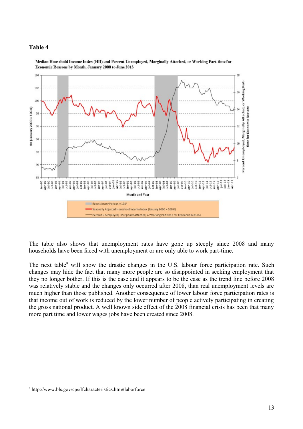#### **Table 4**



Median Household Income Index (HII) and Percent Unemployed, Marginally Attached, or Working Part-time for Economic Reasons by Month, January 2000 to June 2013

The table also shows that unemployment rates have gone up steeply since 2008 and many households have been faced with unemployment or are only able to work part-time.

The next table<sup>8</sup> will show the drastic changes in the U.S. labour force participation rate. Such changes may hide the fact that many more people are so disappointed in seeking employment that they no longer bother. If this is the case and it appears to be the case as the trend line before 2008 was relatively stable and the changes only occurred after 2008, than real unemployment levels are much higher than those published. Another consequence of lower labour force participation rates is that income out of work is reduced by the lower number of people actively participating in creating the gross national product. A well known side effect of the 2008 financial crisis has been that many more part time and lower wages jobs have been created since 2008.

<sup>8</sup> http://www.bls.gov/cps/lfcharacteristics.htm#laborforce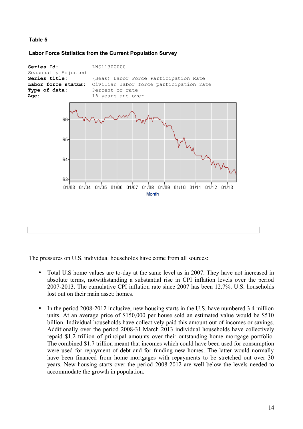## **Table 5**

**Labor Force Statistics from the Current Population Survey**



The pressures on U.S. individual households have come from all sources:

- Total U.S home values are to-day at the same level as in 2007. They have not increased in absolute terms, notwithstanding a substantial rise in CPI inflation levels over the period 2007-2013. The cumulative CPI inflation rate since 2007 has been 12.7%. U.S. households lost out on their main asset: homes.
- In the period 2008-2012 inclusive, new housing starts in the U.S. have numbered 3.4 million units. At an average price of \$150,000 per house sold an estimated value would be \$510 billion. Individual households have collectively paid this amount out of incomes or savings. Additionally over the period 2008-31 March 2013 individual households have collectively repaid \$1.2 trillion of principal amounts over their outstanding home mortgage portfolio. The combined \$1.7 trillion meant that incomes which could have been used for consumption were used for repayment of debt and for funding new homes. The latter would normally have been financed from home mortgages with repayments to be stretched out over 30 years. New housing starts over the period 2008-2012 are well below the levels needed to accommodate the growth in population.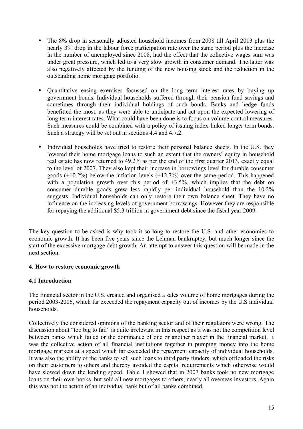- The 8% drop in seasonally adjusted household incomes from 2008 till April 2013 plus the nearly 3% drop in the labour force participation rate over the same period plus the increase in the number of unemployed since 2008, had the effect that the collective wages sum was under great pressure, which led to a very slow growth in consumer demand. The latter was also negatively affected by the funding of the new housing stock and the reduction in the outstanding home mortgage portfolio.
- Quantitative easing exercises focussed on the long term interest rates by buying up government bonds. Individual households suffered through their pension fund savings and sometimes through their individual holdings of such bonds. Banks and hedge funds benefitted the most, as they were able to anticipate and act upon the expected lowering of long term interest rates. What could have been done is to focus on volume control measures. Such measures could be combined with a policy of issuing index-linked longer term bonds. Such a strategy will be set out in sections 4.4 and 4.7.2.
- Individual households have tried to restore their personal balance sheets. In the U.S. they lowered their home mortgage loans to such an extent that the owners' equity in household real estate has now returned to 49.2% as per the end of the first quarter 2013, exactly equal to the level of 2007. They also kept their increase in borrowings level for durable consumer goods (+10.2%) below the inflation levels (+12.7%) over the same period. This happened with a population growth over this period of  $+3.5\%$ , which implies that the debt on consumer durable goods grew less rapidly per individual household than the 10.2% suggests. Individual households can only restore their own balance sheet. They have no influence on the increasing levels of government borrowings. However they are responsible for repaying the additional \$5.3 trillion in government debt since the fiscal year 2009.

The key question to be asked is why took it so long to restore the U.S. and other economies to economic growth. It has been five years since the Lehman bankruptcy, but much longer since the start of the excessive mortgage debt growth. An attempt to answer this question will be made in the next section.

## **4. How to restore economic growth**

## **4.1 Introduction**

The financial sector in the U.S. created and organised a sales volume of home mortgages during the period 2003-2006, which far exceeded the repayment capacity out of incomes by the U.S individual households.

Collectively the considered opinions of the banking sector and of their regulators were wrong. The discussion about "too big to fail" is quite irrelevant in this respect as it was not the competition level between banks which failed or the dominance of one or another player in the financial market. It was the collective action of all financial institutions together in pumping money into the home mortgage markets at a speed which far exceeded the repayment capacity of individual households. It was also the ability of the banks to sell such loans to third party funders, which offloaded the risks on their customers to others and thereby avoided the capital requirements which otherwise would have slowed down the lending speed. Table 1 showed that in 2007 banks took no new mortgage loans on their own books, but sold all new mortgages to others; nearly all overseas investors. Again this was not the action of an individual bank but of all banks combined.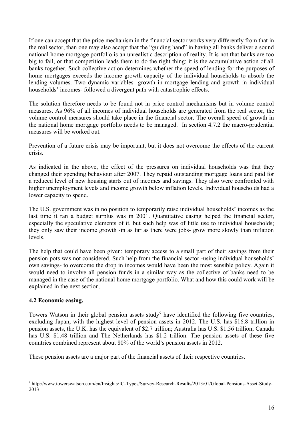If one can accept that the price mechanism in the financial sector works very differently from that in the real sector, than one may also accept that the "guiding hand" in having all banks deliver a sound national home mortgage portfolio is an unrealistic description of reality. It is not that banks are too big to fail, or that competition leads them to do the right thing; it is the accumulative action of all banks together. Such collective action determines whether the speed of lending for the purposes of home mortgages exceeds the income growth capacity of the individual households to absorb the lending volumes. Two dynamic variables -growth in mortgage lending and growth in individual households' incomes- followed a divergent path with catastrophic effects.

The solution therefore needs to be found not in price control mechanisms but in volume control measures. As 96% of all incomes of individual households are generated from the real sector, the volume control measures should take place in the financial sector. The overall speed of growth in the national home mortgage portfolio needs to be managed. In section 4.7.2 the macro-prudential measures will be worked out.

Prevention of a future crisis may be important, but it does not overcome the effects of the current crisis.

As indicated in the above, the effect of the pressures on individual households was that they changed their spending behaviour after 2007. They repaid outstanding mortgage loans and paid for a reduced level of new housing starts out of incomes and savings. They also were confronted with higher unemployment levels and income growth below inflation levels. Individual households had a lower capacity to spend.

The U.S. government was in no position to temporarily raise individual households' incomes as the last time it ran a budget surplus was in 2001. Quantitative easing helped the financial sector, especially the speculative elements of it, but such help was of little use to individual households; they only saw their income growth -in as far as there were jobs- grow more slowly than inflation levels.

The help that could have been given: temporary access to a small part of their savings from their pension pots was not considered. Such help from the financial sector -using individual households' own savings- to overcome the drop in incomes would have been the most sensible policy. Again it would need to involve all pension funds in a similar way as the collective of banks need to be managed in the case of the national home mortgage portfolio. What and how this could work will be explained in the next section.

## **4.2 Economic easing.**

Towers Watson in their global pension assets study<sup>9</sup> have identified the following five countries, excluding Japan, with the highest level of pension assets in 2012. The U.S. has \$16.8 trillion in pension assets, the U.K. has the equivalent of \$2.7 trillion; Australia has U.S. \$1.56 trillion; Canada has U.S. \$1.48 trillion and The Netherlands has \$1.2 trillion. The pension assets of these five countries combined represent about 80% of the world's pension assets in 2012.

These pension assets are a major part of the financial assets of their respective countries.

<sup>9</sup> http://www.towerswatson.com/en/Insights/IC-Types/Survey-Research-Results/2013/01/Global-Pensions-Asset-Study-2013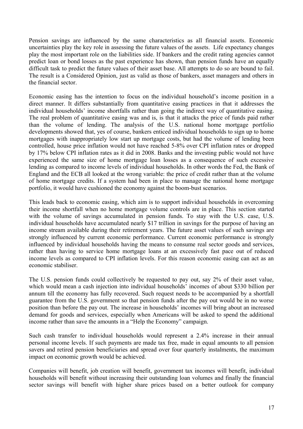Pension savings are influenced by the same characteristics as all financial assets. Economic uncertainties play the key role in assessing the future values of the assets. Life expectancy changes play the most important role on the liabilities side. If bankers and the credit rating agencies cannot predict loan or bond losses as the past experience has shown, than pension funds have an equally difficult task to predict the future values of their asset base. All attempts to do so are bound to fail. The result is a Considered Opinion, just as valid as those of bankers, asset managers and others in the financial sector.

Economic easing has the intention to focus on the individual household's income position in a direct manner. It differs substantially from quantitative easing practices in that it addresses the individual households' income shortfalls rather than going the indirect way of quantitative easing. The real problem of quantitative easing was and is, is that it attacks the price of funds paid rather than the volume of lending. The analysis of the U.S. national home mortgage portfolio developments showed that, yes of course, bankers enticed individual households to sign up to home mortgages with inappropriately low start up mortgage costs, but had the volume of lending been controlled, house price inflation would not have reached 5-8% over CPI inflation rates or dropped by 17% below CPI inflation rates as it did in 2008. Banks and the investing public would not have experienced the same size of home mortgage loan losses as a consequence of such excessive lending as compared to income levels of individual households. In other words the Fed, the Bank of England and the ECB all looked at the wrong variable: the price of credit rather than at the volume of home mortgage credits. If a system had been in place to manage the national home mortgage portfolio, it would have cushioned the economy against the boom-bust scenarios.

This leads back to economic easing, which aim is to support individual households in overcoming their income shortfall when no home mortgage volume controls are in place. This section started with the volume of savings accumulated in pension funds. To stay with the U.S. case, U.S. individual households have accumulated nearly \$17 trillion in savings for the purpose of having an income stream available during their retirement years. The future asset values of such savings are strongly influenced by current economic performance. Current economic performance is strongly influenced by individual households having the means to consume real sector goods and services, rather than having to service home mortgage loans at an excessively fast pace out of reduced income levels as compared to CPI inflation levels. For this reason economic easing can act as an economic stabiliser.

The U.S. pension funds could collectively be requested to pay out, say 2% of their asset value, which would mean a cash injection into individual households' incomes of about \$330 billion per annum till the economy has fully recovered. Such request needs to be accompanied by a shortfall guarantee from the U.S. government so that pension funds after the pay out would be in no worse position than before the pay out. The increase in households' incomes will bring about an increased demand for goods and services, especially when Americans will be asked to spend the additional income rather than save the amounts in a "Help the Economy" campaign.

Such cash transfer to individual households would represent a 2.4% increase in their annual personal income levels. If such payments are made tax free, made in equal amounts to all pension savers and retired pension beneficiaries and spread over four quarterly instalments, the maximum impact on economic growth would be achieved.

Companies will benefit, job creation will benefit, government tax incomes will benefit, individual households will benefit without increasing their outstanding loan volumes and finally the financial sector savings will benefit with higher share prices based on a better outlook for company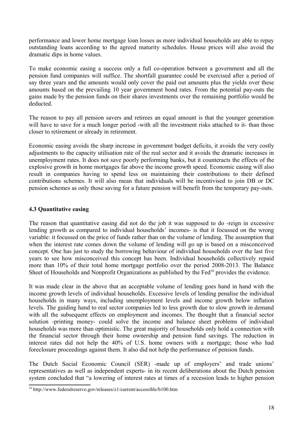performance and lower home mortgage loan losses as more individual households are able to repay outstanding loans according to the agreed maturity schedules. House prices will also avoid the dramatic dips in home values.

To make economic easing a success only a full co-operation between a government and all the pension fund companies will suffice. The shortfall guarantee could be exercised after a period of say three years and the amounts would only cover the paid out amounts plus the yields over these amounts based on the prevailing 10 year government bond rates. From the potential pay-outs the gains made by the pension funds on their shares investments over the remaining portfolio would be deducted.

The reason to pay all pension savers and retirees an equal amount is that the younger generation will have to save for a much longer period -with all the investment risks attached to it- than those closer to retirement or already in retirement.

Economic easing avoids the sharp increase in government budget deficits, it avoids the very costly adjustments to the capacity utilisation rate of the real sector and it avoids the dramatic increases in unemployment rates. It does not save poorly performing banks, but it counteracts the effects of the explosive growth in home mortgages far above the income growth speed. Economic easing will also result in companies having to spend less on maintaining their contributions to their defined contributions schemes. It will also mean that individuals will be incentivised to join DB or DC pension schemes as only those saving for a future pension will benefit from the temporary pay-outs.

## **4.3 Quantitative easing**

The reason that quantitative easing did not do the job it was supposed to do -reign in excessive lending growth as compared to individual households' incomes- is that it focussed on the wrong variable: it focussed on the price of funds rather than on the volume of lending. The assumption that when the interest rate comes down the volume of lending will go up is based on a misconceived concept. One has just to study the borrowing behaviour of individual households over the last five years to see how misconceived this concept has been. Individual households collectively repaid more than 10% of their total home mortgage portfolio over the period 2008-2013. The Balance Sheet of Households and Nonprofit Organizations as published by the Fed<sup>10</sup> provides the evidence.

It was made clear in the above that an acceptable volume of lending goes hand in hand with the income growth levels of individual households. Excessive levels of lending penalise the individual households in many ways, including unemployment levels and income growth below inflation levels. The guiding hand to real sector companies led to less growth due to slow growth in demand with all the subsequent effects on employment and incomes. The thought that a financial sector solution -printing money- could solve the income and balance sheet problems of individual households was more than optimistic. The great majority of households only hold a connection with the financial sector through their home ownership and pension fund savings. The reduction in interest rates did not help the 40% of U.S. home owners with a mortgage; those who had foreclosure proceedings against them. It also did not help the performance of pension funds.

The Dutch Social Economic Council (SER) -made up of employers' and trade unions' representatives as well as independent experts- in its recent deliberations about the Dutch pension system concluded that "a lowering of interest rates at times of a recession leads to higher pension

<sup>10</sup> http://www.federalreserve.gov/releases/z1/current/accessible/b100.htm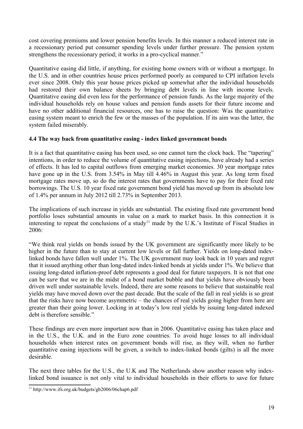cost covering premiums and lower pension benefits levels. In this manner a reduced interest rate in a recessionary period put consumer spending levels under further pressure. The pension system strengthens the recessionary period; it works in a pro-cyclical manner."

Quantitative easing did little, if anything, for existing home owners with or without a mortgage. In the U.S. and in other countries house prices performed poorly as compared to CPI inflation levels ever since 2008. Only this year house prices picked up somewhat after the individual households had restored their own balance sheets by bringing debt levels in line with income levels. Quantitative easing did even less for the performance of pension funds. As the large majority of the individual households rely on house values and pension funds assets for their future income and have no other additional financial resources, one has to raise the question: Was the quantitative easing system meant to enrich the few or the masses of the population. If its aim was the latter, the system failed miserably.

## **4.4 The way back from quantitative easing - index linked government bonds**

It is a fact that quantitative easing has been used, so one cannot turn the clock back. The "tapering" intentions, in order to reduce the volume of quantitative easing injections, have already had a series of effects. It has led to capital outflows from emerging market economies. 30 year mortgage rates have gone up in the U.S. from 3.54% in May till 4.46% in August this year. As long term fixed mortgage rates move up, so do the interest rates that governments have to pay for their fixed rate borrowings. The U.S. 10 year fixed rate government bond yield has moved up from its absolute low of 1.4% per annum in July 2012 till 2.73% in September 2013.

The implications of such increase in yields are substantial. The existing fixed rate government bond portfolio loses substantial amounts in value on a mark to market basis. In this connection it is interesting to repeat the conclusions of a study<sup>11</sup> made by the U.K.'s Institute of Fiscal Studies in 2006:

"We think real yields on bonds issued by the UK government are significantly more likely to be higher in the future than to stay at current low levels or fall further. Yields on long-dated indexlinked bonds have fallen well under 1%. The UK government may look back in 10 years and regret that it issued anything other than long-dated index-linked bonds at yields under 1%. We believe that issuing long-dated inflation-proof debt represents a good deal for future taxpayers. It is not that one can be *sure* that we are in the midst of a bond market bubble and that yields have obviously been driven well under sustainable levels. Indeed, there are some reasons to believe that sustainable real yields may have moved down over the past decade. But the scale of the fall in real yields is so great that the risks have now become asymmetric – the chances of real yields going higher from here are greater than their going lower. Locking in at today's low real yields by issuing long-dated indexed debt is therefore sensible."

These findings are even more important now than in 2006. Quantitative easing has taken place and in the U.S., the U.K. and in the Euro zone countries. To avoid huge losses to all individual households when interest rates on government bonds will rise, as they will, when no further quantitative easing injections will be given, a switch to index-linked bonds (gilts) is all the more desirable.

The next three tables for the U.S., the U.K and The Netherlands show another reason why indexlinked bond issuance is not only vital to individual households in their efforts to save for future

 $11 \text{ http://www.ifs.org.uk/bude}$ t $10 \text{ dt}$  http://www.ifs.org.uk/budgets/gb2006/06chap6.pdf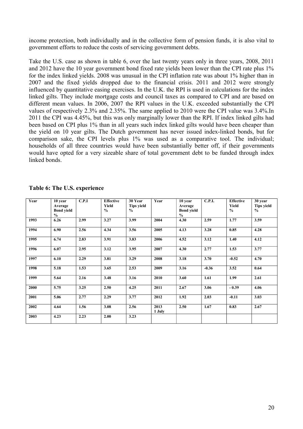income protection, both individually and in the collective form of pension funds, it is also vital to government efforts to reduce the costs of servicing government debts.

Take the U.S. case as shown in table 6, over the last twenty years only in three years, 2008, 2011 and 2012 have the 10 year government bond fixed rate yields been lower than the CPI rate plus 1% for the index linked yields. 2008 was unusual in the CPI inflation rate was about 1% higher than in 2007 and the fixed yields dropped due to the financial crisis. 2011 and 2012 were strongly influenced by quantitative easing exercises. In the U.K. the RPI is used in calculations for the index linked gilts. They include mortgage costs and council taxes as compared to CPI and are based on different mean values. In 2006, 2007 the RPI values in the U.K. exceeded substantially the CPI values of respectively 2.3% and 2.35%. The same applied to 2010 were the CPI value was 3.4%.In 2011 the CPI was 4.45%, but this was only marginally lower than the RPI. If index linked gilts had been based on CPI plus 1% than in all years such index linked gilts would have been cheaper than the yield on 10 year gilts. The Dutch government has never issued index-linked bonds, but for comparison sake, the CPI levels plus 1% was used as a comparative tool. The individual; households of all three countries would have been substantially better off, if their governments would have opted for a very sizeable share of total government debt to be funded through index linked bonds.

| Year | 10 year<br>Average<br><b>Bond yield</b><br>$\frac{0}{0}$ | C.P.I | <b>Effective</b><br>Yield<br>$\frac{0}{0}$ | 30 Year<br><b>Tips yield</b><br>$\frac{6}{9}$ | Year           | 10 year<br>Average<br><b>Bond yield</b><br>$\frac{0}{0}$ | <b>C.P.I.</b> | <b>Effective</b><br>Yield<br>$\frac{0}{0}$ | 30 year<br><b>Tips yield</b><br>$\frac{0}{0}$ |
|------|----------------------------------------------------------|-------|--------------------------------------------|-----------------------------------------------|----------------|----------------------------------------------------------|---------------|--------------------------------------------|-----------------------------------------------|
| 1993 | 6.26                                                     | 2.99  | 3.27                                       | 3.99                                          | 2004           | 4.30                                                     | 2.59          | 1.77                                       | 3.59                                          |
| 1994 | 6.90                                                     | 2.56  | 4.34                                       | 3.56                                          | 2005           | 4.13                                                     | 3.28          | 0.85                                       | 4.28                                          |
| 1995 | 6.74                                                     | 2.83  | 3.91                                       | 3.83                                          | 2006           | 4.52                                                     | 3.12          | 1.40                                       | 4.12                                          |
| 1996 | 6.07                                                     | 2.95  | 3.12                                       | 3.95                                          | 2007           | 4.30                                                     | 2.77          | 1.53                                       | 3.77                                          |
| 1997 | 6.10                                                     | 2.29  | 3.81                                       | 3.29                                          | 2008           | 3.18                                                     | 3.70          | $-0.52$                                    | 4.70                                          |
| 1998 | 5.18                                                     | 1.53  | 3.65                                       | 2.53                                          | 2009           | 3.16                                                     | $-0.36$       | 3.52                                       | 0.64                                          |
| 1999 | 5.64                                                     | 2.16  | 3.48                                       | 3.16                                          | 2010           | 3.60                                                     | 1.61          | 1.99                                       | 2.61                                          |
| 2000 | 5.75                                                     | 3.25  | 2.50                                       | 4.25                                          | 2011           | 2.67                                                     | 3.06          | $-0.39$                                    | 4.06                                          |
| 2001 | 5.06                                                     | 2.77  | 2.29                                       | 3.77                                          | 2012           | 1.92                                                     | 2.03          | $-0.11$                                    | 3.03                                          |
| 2002 | 4.64                                                     | 1.56  | 3.08                                       | 2.56                                          | 2013<br>1 July | 2.50                                                     | 1.67          | 0.83                                       | 2.67                                          |
| 2003 | 4.23                                                     | 2.23  | 2.00                                       | 3.23                                          |                |                                                          |               |                                            |                                               |

**Table 6: The U.S. experience**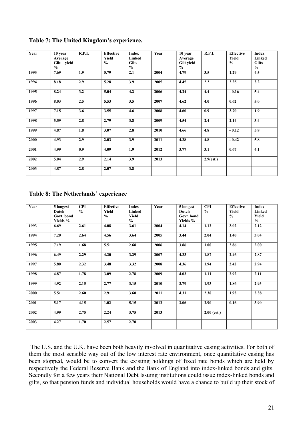| Year | 10 year<br>Average<br>Gilt yield<br>$\frac{0}{0}$ | <b>R.P.I.</b> | <b>Effective</b><br>Yield<br>$\frac{0}{0}$ | Index<br>Linked<br><b>Gilts</b><br>$\frac{0}{0}$ | Year | 10 year<br>Average<br><b>Gilt yield</b><br>$\frac{0}{0}$ | R.P.I.       | <b>Effective</b><br>Yield<br>$\frac{0}{0}$ | <b>Index</b><br>Linked<br><b>Gilts</b><br>$\frac{0}{0}$ |
|------|---------------------------------------------------|---------------|--------------------------------------------|--------------------------------------------------|------|----------------------------------------------------------|--------------|--------------------------------------------|---------------------------------------------------------|
| 1993 | 7.69                                              | 1.9           | 5.79                                       | 2.1                                              | 2004 | 4.79                                                     | 3.5          | 1.29                                       | 4.5                                                     |
| 1994 | 8.18                                              | 2.9           | 5.28                                       | 3.9                                              | 2005 | 4.45                                                     | 2.2          | 2.25                                       | 3.2                                                     |
| 1995 | 8.24                                              | 3.2           | 5.04                                       | 4.2                                              | 2006 | 4.24                                                     | 4.4          | $-0.16$                                    | 5.4                                                     |
| 1996 | 8.03                                              | 2.5           | 5.53                                       | 3.5                                              | 2007 | 4.62                                                     | 4.0          | 0.62                                       | 5.0                                                     |
| 1997 | 7.15                                              | 3.6           | 3.55                                       | 4.6                                              | 2008 | 4.60                                                     | 0.9          | 3.70                                       | 1.9                                                     |
| 1998 | 5.59                                              | 2.8           | 2.79                                       | 3.8                                              | 2009 | 4.54                                                     | 2.4          | 2.14                                       | 3.4                                                     |
| 1999 | 4.87                                              | 1.8           | 3.07                                       | 2.8                                              | 2010 | 4.66                                                     | 4.8          | $-0.12$                                    | 5.8                                                     |
| 2000 | 4.93                                              | 2.9           | 2.03                                       | 3.9                                              | 2011 | 4.38                                                     | 4.8          | $-0.42$                                    | 5.8                                                     |
| 2001 | 4.99                                              | 0.9           | 4.09                                       | 1.9                                              | 2012 | 3.77                                                     | 3.1          | 0.67                                       | 4.1                                                     |
| 2002 | 5.04                                              | 2.9           | 2.14                                       | 3.9                                              | 2013 |                                                          | $2.9$ (est.) |                                            |                                                         |
| 2003 | 4.87                                              | 2.8           | 2.07                                       | 3.8                                              |      |                                                          |              |                                            |                                                         |

**Table 7: The United Kingdom's experience.**

**Table 8: The Netherlands' experience**

| Year | 5 longest  | <b>CPI</b>    | <b>Effective</b> | <b>Index</b>  | Year | 5 longest  | <b>CPI</b>    | <b>Effective</b> | <b>Index</b>  |
|------|------------|---------------|------------------|---------------|------|------------|---------------|------------------|---------------|
|      | Dutch      | $\frac{0}{0}$ | Yield            | Linked        |      | Dutch      | $\frac{0}{0}$ | Yield            | Linked        |
|      | Govt. bond |               | $\frac{0}{0}$    | <b>Yield</b>  |      | Govt. bond |               | $\frac{0}{0}$    | Yield         |
|      | Yields %   |               |                  | $\frac{0}{0}$ |      | Yields %   |               |                  | $\frac{0}{0}$ |
| 1993 | 6.69       | 2.61          | 4.08             | 3.61          | 2004 | 4.14       | 1.12          | 3.02             | 2.12          |
|      |            |               |                  |               |      |            |               |                  |               |
| 1994 | 7.20       | 2.64          | 4.56             | 3.64          | 2005 | 3.44       | 2.04          | 1.40             | 3.04          |
|      |            |               |                  |               |      |            |               |                  |               |
| 1995 | 7.19       | 1.68          | 5.51             | 2.68          | 2006 | 3.86       | 1.00          | 2.86             | 2.00          |
|      |            |               |                  |               |      |            |               |                  |               |
| 1996 | 6.49       | 2.29          | 4.20             | 3.29          | 2007 | 4.33       | 1.87          | 2.46             | 2.87          |
|      |            |               |                  |               |      |            |               |                  |               |
| 1997 | 5.80       | 2.32          | 3.48             | 3.32          | 2008 | 4.36       | 1.94          | 2.42             | 2.94          |
|      |            |               |                  |               |      |            |               |                  |               |
| 1998 | 4.87       | 1.78          | 3.09             | 2.78          | 2009 | 4.03       | 1.11          | 2.92             | 2.11          |
|      |            |               |                  |               |      |            |               |                  |               |
| 1999 | 4.92       | 2.15          | 2.77             | 3.15          | 2010 | 3.79       | 1.93          | 1.86             | 2.93          |
|      |            |               |                  |               |      |            |               |                  |               |
| 2000 | 5.51       | 2.60          | 2.91             | 3.60          | 2011 | 4.31       | 2.38          | 1.93             | 3.38          |
|      |            |               |                  |               |      |            |               |                  |               |
| 2001 | 5.17       | 4.15          | 1.02             | 5.15          | 2012 | 3.06       | 2.90          | 0.16             | 3.90          |
|      |            |               |                  |               |      |            |               |                  |               |
| 2002 | 4.99       | 2.75          | 2.24             | 3.75          | 2013 |            | $2.00$ (est.) |                  |               |
|      |            |               |                  |               |      |            |               |                  |               |
| 2003 | 4.27       | 1.70          | 2.57             | 2.70          |      |            |               |                  |               |
|      |            |               |                  |               |      |            |               |                  |               |
|      |            |               |                  |               |      |            |               |                  |               |

 The U.S. and the U.K. have been both heavily involved in quantitative easing activities. For both of them the most sensible way out of the low interest rate environment, once quantitative easing has been stopped, would be to convert the existing holdings of fixed rate bonds which are held by respectively the Federal Reserve Bank and the Bank of England into index-linked bonds and gilts. Secondly for a few years their National Debt Issuing institutions could issue index-linked bonds and gilts, so that pension funds and individual households would have a chance to build up their stock of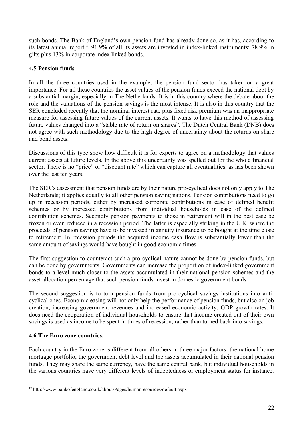such bonds. The Bank of England's own pension fund has already done so, as it has, according to its latest annual report<sup>12</sup>, 91.9% of all its assets are invested in index-linked instruments: 78.9% in gilts plus 13% in corporate index linked bonds.

## **4.5 Pension funds**

In all the three countries used in the example, the pension fund sector has taken on a great importance. For all these countries the asset values of the pension funds exceed the national debt by a substantial margin, especially in The Netherlands. It is in this country where the debate about the role and the valuations of the pension savings is the most intense. It is also in this country that the SER concluded recently that the nominal interest rate plus fixed risk premium was an inappropriate measure for assessing future values of the current assets. It wants to have this method of assessing future values changed into a "stable rate of return on shares". The Dutch Central Bank (DNB) does not agree with such methodology due to the high degree of uncertainty about the returns on share and bond assets.

Discussions of this type show how difficult it is for experts to agree on a methodology that values current assets at future levels. In the above this uncertainty was spelled out for the whole financial sector. There is no "price" or "discount rate" which can capture all eventualities, as has been shown over the last ten years.

The SER's assessment that pension funds are by their nature pro-cyclical does not only apply to The Netherlands; it applies equally to all other pension saving nations. Pension contributions need to go up in recession periods, either by increased corporate contributions in case of defined benefit schemes or by increased contributions from individual households in case of the defined contribution schemes. Secondly pension payments to those in retirement will in the best case be frozen or even reduced in a recession period. The latter is especially striking in the U.K. where the proceeds of pension savings have to be invested in annuity insurance to be bought at the time close to retirement. In recession periods the acquired income cash flow is substantially lower than the same amount of savings would have bought in good economic times.

The first suggestion to counteract such a pro-cyclical nature cannot be done by pension funds, but can be done by governments. Governments can increase the proportion of index-linked government bonds to a level much closer to the assets accumulated in their national pension schemes and the asset allocation percentage that such pension funds invest in domestic government bonds.

The second suggestion is to turn pension funds from pro-cyclical savings institutions into anticyclical ones. Economic easing will not only help the performance of pension funds, but also on job creation, increasing government revenues and increased economic activity: GDP growth rates. It does need the cooperation of individual households to ensure that income created out of their own savings is used as income to be spent in times of recession, rather than turned back into savings.

## **4.6 The Euro zone countries.**

Each country in the Euro zone is different from all others in three major factors: the national home mortgage portfolio, the government debt level and the assets accumulated in their national pension funds. They may share the same currency, have the same central bank, but individual households in the various countries have very different levels of indebtedness or employment status for instance.

<sup>12</sup> http://www.bankofengland.co.uk/about/Pages/humanresources/default.aspx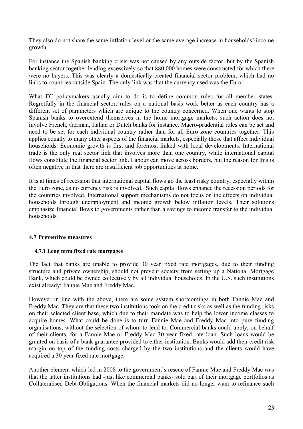They also do not share the same inflation level or the same average increase in households' income growth.

For instance the Spanish banking crisis was not caused by any outside factor, but by the Spanish banking sector together lending excessively so that 880,000 homes were constructed for which there were no buyers. This was clearly a domestically created financial sector problem, which had no links to countries outside Spain. The only link was that the currency used was the Euro.

What EC policymakers usually aim to do is to define common rules for all member states. Regretfully in the financial sector, rules on a national basis work better as each country has a different set of parameters which are unique to the country concerned. When one wants to stop Spanish banks to overextend themselves in the home mortgage markets, such action does not involve French, German, Italian or Dutch banks for instance. Macro-prudential rules can be set and need to be set for each individual country rather than for all Euro zone countries together. This applies equally to many other aspects of the financial markets, especially those that affect individual households. Economic growth is first and foremost linked with local developments. International trade is the only real sector link that involves more than one country, while international capital flows constitute the financial sector link. Labour can move across borders, but the reason for this is often negative in that there are insufficient job opportunities at home.

It is at times of recession that international capital flows go the least risky country, especially within the Euro zone, as no currency risk is involved. Such capital flows enhance the recession periods for the countries involved. International support mechanisms do not focus on the effects on individual households through unemployment and income growth below inflation levels. Their solutions emphasize financial flows to governments rather than a savings to income transfer to the individual households.

## **4.7 Preventive measures**

## **4.7.1 Long term fixed rate mortgages**

The fact that banks are unable to provide 30 year fixed rate mortgages, due to their funding structure and private ownership, should not prevent society from setting up a National Mortgage Bank, which could be owned collectively by all individual households. In the U.S. such institutions exist already: Fannie Mae and Freddy Mac.

However in line with the above, there are some system shortcomings in both Fannie Mae and Freddy Mac. They are that these two institutions took on the credit risks as well as the funding risks on their selected client base, which due to their mandate was to help the lower income classes to acquire homes. What could be done is to turn Fannie Mae and Freddy Mac into pure funding organisations, without the selection of whom to lend to. Commercial banks could apply, on behalf of their clients, for a Fannie Mae or Freddy Mac 30 year fixed rate loan. Such loans would be granted on basis of a bank guarantee provided to either institution. Banks would add their credit risk margin on top of the funding costs charged by the two institutions and the clients would have acquired a 30 year fixed rate mortgage.

Another element which led in 2008 to the government's rescue of Fannie Mae and Freddy Mac was that the latter institutions had -just like commercial banks- sold part of their mortgage portfolios as Collateralised Debt Obligations. When the financial markets did no longer want to refinance such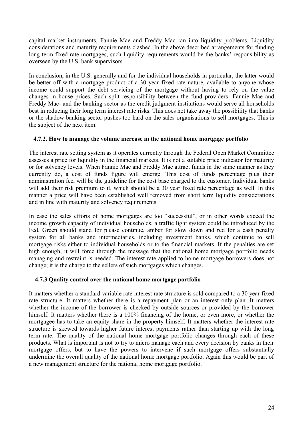capital market instruments, Fannie Mae and Freddy Mac ran into liquidity problems. Liquidity considerations and maturity requirements clashed. In the above described arrangements for funding long term fixed rate mortgages, such liquidity requirements would be the banks' responsibility as overseen by the U.S. bank supervisors.

In conclusion, in the U.S. generally and for the individual households in particular, the latter would be better off with a mortgage product of a 30 year fixed rate nature, available to anyone whose income could support the debt servicing of the mortgage without having to rely on the value changes in house prices. Such split responsibility between the fund providers -Fannie Mae and Freddy Mac- and the banking sector as the credit judgment institutions would serve all households best in reducing their long term interest rate risks. This does not take away the possibility that banks or the shadow banking sector pushes too hard on the sales organisations to sell mortgages. This is the subject of the next item.

## **4.7.2. How to manage the volume increase in the national home mortgage portfolio**

The interest rate setting system as it operates currently through the Federal Open Market Committee assesses a price for liquidity in the financial markets. It is not a suitable price indicator for maturity or for solvency levels. When Fannie Mae and Freddy Mac attract funds in the same manner as they currently do, a cost of funds figure will emerge. This cost of funds percentage plus their administration fee, will be the guideline for the cost base charged to the customer. Individual banks will add their risk premium to it, which should be a 30 year fixed rate percentage as well. In this manner a price will have been established well removed from short term liquidity considerations and in line with maturity and solvency requirements.

In case the sales efforts of home mortgages are too "successful", or in other words exceed the income growth capacity of individual households, a traffic light system could be introduced by the Fed. Green should stand for please continue, amber for slow down and red for a cash penalty system for all banks and intermediaries, including investment banks, which continue to sell mortgage risks either to individual households or to the financial markets. If the penalties are set high enough, it will force through the message that the national home mortgage portfolio needs managing and restraint is needed. The interest rate applied to home mortgage borrowers does not change; it is the charge to the sellers of such mortgages which changes.

## **4.7.3 Quality control over the national home mortgage portfolio**

It matters whether a standard variable rate interest rate structure is sold compared to a 30 year fixed rate structure. It matters whether there is a repayment plan or an interest only plan. It matters whether the income of the borrower is checked by outside sources or provided by the borrower himself. It matters whether there is a 100% financing of the home, or even more, or whether the mortgagee has to take an equity share in the property himself. It matters whether the interest rate structure is skewed towards higher future interest payments rather than starting up with the long term rate. The quality of the national home mortgage portfolio changes through each of these products. What is important is not to try to micro manage each and every decision by banks in their mortgage offers, but to have the powers to intervene if such mortgage offers substantially undermine the overall quality of the national home mortgage portfolio. Again this would be part of a new management structure for the national home mortgage portfolio.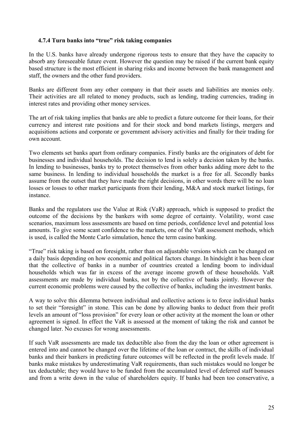## **4.7.4 Turn banks into "true" risk taking companies**

In the U.S. banks have already undergone rigorous tests to ensure that they have the capacity to absorb any foreseeable future event. However the question may be raised if the current bank equity based structure is the most efficient in sharing risks and income between the bank management and staff, the owners and the other fund providers.

Banks are different from any other company in that their assets and liabilities are monies only. Their activities are all related to money products, such as lending, trading currencies, trading in interest rates and providing other money services.

The art of risk taking implies that banks are able to predict a future outcome for their loans, for their currency and interest rate positions and for their stock and bond markets listings, mergers and acquisitions actions and corporate or government advisory activities and finally for their trading for own account.

Two elements set banks apart from ordinary companies. Firstly banks are the originators of debt for businesses and individual households. The decision to lend is solely a decision taken by the banks. In lending to businesses, banks try to protect themselves from other banks adding more debt to the same business. In lending to individual households the market is a free for all. Secondly banks assume from the outset that they have made the right decisions, in other words there will be no loan losses or losses to other market participants from their lending, M&A and stock market listings, for instance.

Banks and the regulators use the Value at Risk (VaR) approach, which is supposed to predict the outcome of the decisions by the bankers with some degree of certainty. Volatility, worst case scenarios, maximum loss assessments are based on time periods, confidence level and potential loss amounts. To give some scant confidence to the markets, one of the VaR assessment methods, which is used, is called the Monte Carlo simulation, hence the term casino banking.

"True" risk taking is based on foresight, rather than on adjustable versions which can be changed on a daily basis depending on how economic and political factors change. In hindsight it has been clear that the collective of banks in a number of countries created a lending boom to individual households which was far in excess of the average income growth of these households. VaR assessments are made by individual banks, not by the collective of banks jointly. However the current economic problems were caused by the collective of banks, including the investment banks.

A way to solve this dilemma between individual and collective actions is to force individual banks to set their "foresight" in stone. This can be done by allowing banks to deduct from their profit levels an amount of "loss provision" for every loan or other activity at the moment the loan or other agreement is signed. In effect the VaR is assessed at the moment of taking the risk and cannot be changed later. No excuses for wrong assessments.

If such VaR assessments are made tax deductible also from the day the loan or other agreement is entered into and cannot be changed over the lifetime of the loan or contract, the skills of individual banks and their bankers in predicting future outcomes will be reflected in the profit levels made. If banks make mistakes by underestimating VaR requirements, than such mistakes would no longer be tax deductable; they would have to be funded from the accumulated level of deferred staff bonuses and from a write down in the value of shareholders equity. If banks had been too conservative, a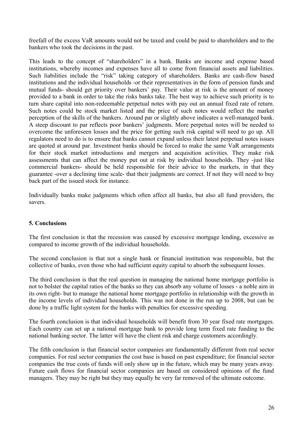freefall of the excess VaR amounts would not be taxed and could be paid to shareholders and to the bankers who took the decisions in the past.

This leads to the concept of "shareholders" in a bank. Banks are income and expense based institutions, whereby incomes and expenses have all to come from financial assets and liabilities. Such liabilities include the "risk" taking category of shareholders. Banks are cash-flow based institutions and the individual households -or their representatives in the form of pension funds and mutual funds- should get priority over bankers' pay. Their value at risk is the amount of money provided to a bank in order to take the risks banks take. The best way to achieve such priority is to turn share capital into non-redeemable perpetual notes with pay out an annual fixed rate of return. Such notes could be stock market listed and the price of such notes would reflect the market perception of the skills of the bankers. Around par or slightly above indicates a well-managed bank. A steep discount to par reflects poor bankers' judgments. More perpetual notes will be needed to overcome the unforeseen losses and the price for getting such risk capital will need to go up. All regulators need to do is to ensure that banks cannot expand unless their latest perpetual notes issues are quoted at around par. Investment banks should be forced to make the same VaR arrangements for their stock market introductions and mergers and acquisition activities. They make risk assessments that can affect the money put out at risk by individual households. They -just like commercial bankers- should be held responsible for their advice to the markets, in that they guarantee -over a declining time scale- that their judgments are correct. If not they will need to buy back part of the issued stock for instance.

Individually banks make judgments which often affect all banks, but also all fund providers, the savers.

## **5. Conclusions**

The first conclusion is that the recession was caused by excessive mortgage lending, excessive as compared to income growth of the individual households.

The second conclusion is that not a single bank or financial institution was responsible, but the collective of banks, even those who had sufficient equity capital to absorb the subsequent losses.

The third conclusion is that the real question in managing the national home mortgage portfolio is not to bolster the capital ratios of the banks so they can absorb any volume of losses - a noble aim in its own right- but to manage the national home mortgage portfolio in relationship with the growth in the income levels of individual households. This was not done in the run up to 2008, but can be done by a traffic light system for the banks with penalties for excessive speeding.

The fourth conclusion is that individual households will benefit from 30 year fixed rate mortgages. Each country can set up a national mortgage bank to provide long term fixed rate funding to the national banking sector. The latter will have the client risk and charge customers accordingly.

The fifth conclusion is that financial sector companies are fundamentally different from real sector companies. For real sector companies the cost base is based on past expenditure; for financial sector companies the true costs of funds will only show up in the future, which may be many years away. Future cash flows for financial sector companies are based on considered opinions of the fund managers. They may be right but they may equally be very far removed of the ultimate outcome.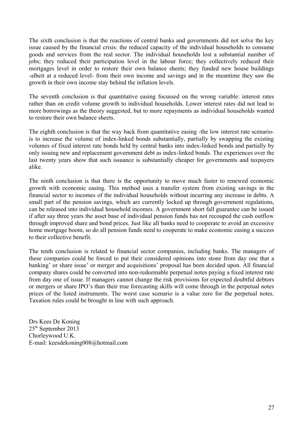The sixth conclusion is that the reactions of central banks and governments did not solve the key issue caused by the financial crisis: the reduced capacity of the individual households to consume goods and services from the real sector. The individual households lost a substantial number of jobs; they reduced their participation level in the labour force; they collectively reduced their mortgages level in order to restore their own balance sheets; they funded new house buildings -albeit at a reduced level- from their own income and savings and in the meantime they saw the growth in their own income stay behind the inflation levels.

The seventh conclusion is that quantitative easing focussed on the wrong variable: interest rates rather than on credit volume growth to individual households. Lower interest rates did not lead to more borrowings as the theory suggested, but to more repayments as individual households wanted to restore their own balance sheets.

The eighth conclusion is that the way back from quantitative easing -the low interest rate scenariois to increase the volume of index-linked bonds substantially, partially by swapping the existing volumes of fixed interest rate bonds held by central banks into index-linked bonds and partially by only issuing new and replacement government debt as index-linked bonds. The experiences over the last twenty years show that such issuance is substantially cheaper for governments and taxpayers alike.

The ninth conclusion is that there is the opportunity to move much faster to renewed economic growth with economic easing. This method uses a transfer system from existing savings in the financial sector to incomes of the individual households without incurring any increase in debts. A small part of the pension savings, which are currently locked up through government regulations, can be released into individual household incomes. A government short fall guarantee can be issued if after say three years the asset base of individual pension funds has not recouped the cash outflow through improved share and bond prices. Just like all banks need to cooperate to avoid an excessive home mortgage boom, so do all pension funds need to cooperate to make economic easing a success to their collective benefit.

The tenth conclusion is related to financial sector companies, including banks. The managers of these companies could be forced to put their considered opinions into stone from day one that a banking' or share issue' or merger and acquisitions' proposal has been decided upon. All financial company shares could be converted into non-redeemable perpetual notes paying a fixed interest rate from day one of issue. If managers cannot change the risk provisions for expected doubtful debtors or mergers or share IPO's than their true forecasting skills will come through in the perpetual notes prices of the listed instruments. The worst case scenario is a value zero for the perpetual notes. Taxation rules could be brought in line with such approach.

Drs Kees De Koning 25th September 2013 Chorleywood U.K. E-mail: keesdekoning008@hotmail.com